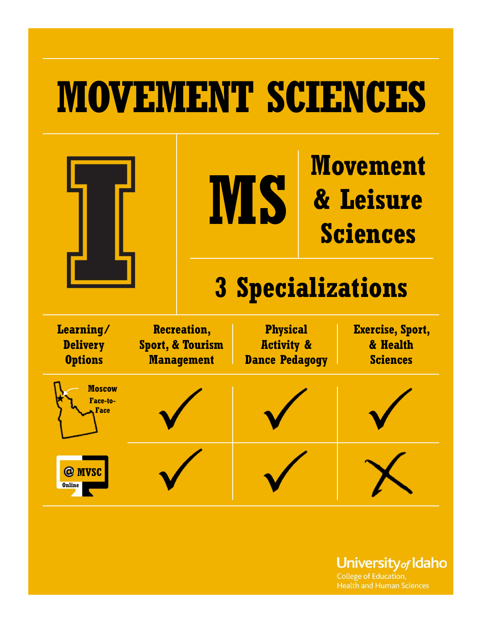# MOVEMENT SCIENCES



**Movement** & Leisure Sciences

# 3 Specializations

| Learning/<br><b>Delivery</b><br><b>Options</b> | <b>Recreation,</b><br><b>Sport, &amp; Tourism</b><br><b>Management</b> | <b>Physical</b><br><b>Activity &amp;</b><br><b>Dance Pedagogy</b> | Exercise, Sport,<br>& Health<br><b>Sciences</b> |  |
|------------------------------------------------|------------------------------------------------------------------------|-------------------------------------------------------------------|-------------------------------------------------|--|
| <b>Moscow</b><br>Face-to-<br>Face              |                                                                        |                                                                   |                                                 |  |
| @ MVSC<br><b>Online</b>                        |                                                                        |                                                                   |                                                 |  |

University<sub>of</sub> Idaho

**College of Education, Health and Human Sciences**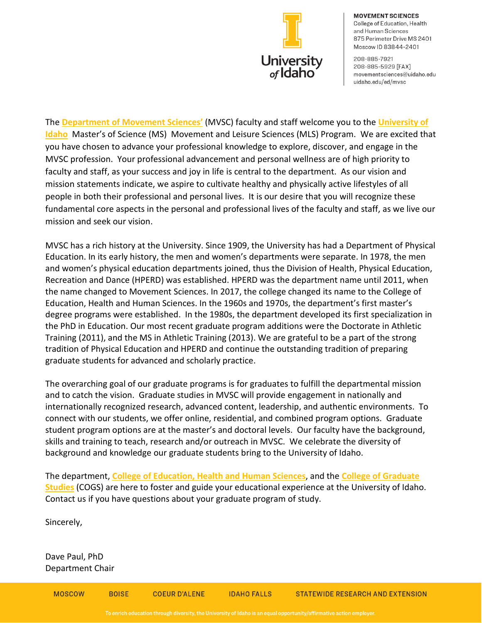

**MOVEMENT SCIENCES** College of Education, Health and Human Sciences 875 Perimeter Drive MS 2401 Moscow ID 83844-2401

208-885-7921 208-885-5929 [FAX] movementsciences@uidaho.edu uidaho.edu/ed/mvsc

The **[Department of Movement Sciences'](https://www.uidaho.edu/ed/mvsc)** (MVSC) faculty and staff welcome you to the **[University of](https://www.uidaho.edu/)  [Idaho](https://www.uidaho.edu/)** Master's of Science (MS) Movement and Leisure Sciences (MLS) Program. We are excited that you have chosen to advance your professional knowledge to explore, discover, and engage in the MVSC profession. Your professional advancement and personal wellness are of high priority to faculty and staff, as your success and joy in life is central to the department. As our vision and mission statements indicate, we aspire to cultivate healthy and physically active lifestyles of all people in both their professional and personal lives. It is our desire that you will recognize these fundamental core aspects in the personal and professional lives of the faculty and staff, as we live our mission and seek our vision.

MVSC has a rich history at the University. Since 1909, the University has had a Department of Physical Education. In its early history, the men and women's departments were separate. In 1978, the men and women's physical education departments joined, thus the Division of Health, Physical Education, Recreation and Dance (HPERD) was established. HPERD was the department name until 2011, when the name changed to Movement Sciences. In 2017, the college changed its name to the College of Education, Health and Human Sciences. In the 1960s and 1970s, the department's first master's degree programs were established. In the 1980s, the department developed its first specialization in the PhD in Education. Our most recent graduate program additions were the Doctorate in Athletic Training (2011), and the MS in Athletic Training (2013). We are grateful to be a part of the strong tradition of Physical Education and HPERD and continue the outstanding tradition of preparing graduate students for advanced and scholarly practice.

The overarching goal of our graduate programs is for graduates to fulfill the departmental mission and to catch the vision. Graduate studies in MVSC will provide engagement in nationally and internationally recognized research, advanced content, leadership, and authentic environments. To connect with our students, we offer online, residential, and combined program options. Graduate student program options are at the master's and doctoral levels. Our faculty have the background, skills and training to teach, research and/or outreach in MVSC. We celebrate the diversity of background and knowledge our graduate students bring to the University of Idaho.

The department, **[College of Education, Health and Human Sciences](https://www.uidaho.edu/ed)**, and the **[College of Graduate](https://www.uidaho.edu/cogs)  [Studies](https://www.uidaho.edu/cogs)** (COGS) are here to foster and guide your educational experience at the University of Idaho. Contact us if you have questions about your graduate program of study.

Sincerely,

Dave Paul, PhD Department Chair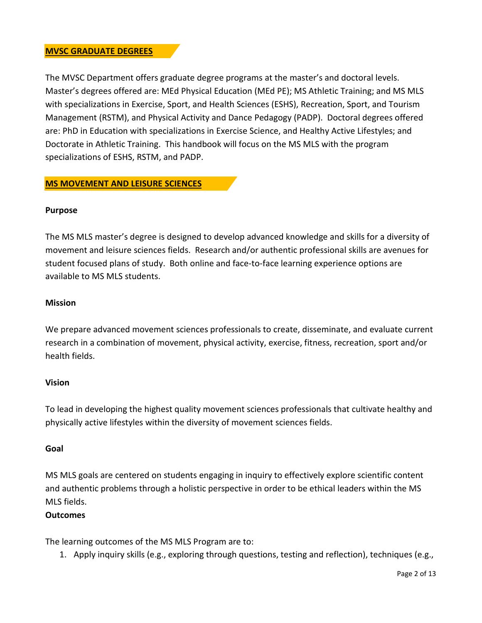### **MVSC GRADUATE DEGREES**

The MVSC Department offers graduate degree programs at the master's and doctoral levels. Master's degrees offered are: MEd Physical Education (MEd PE); MS Athletic Training; and MS MLS with specializations in Exercise, Sport, and Health Sciences (ESHS), Recreation, Sport, and Tourism Management (RSTM), and Physical Activity and Dance Pedagogy (PADP). Doctoral degrees offered are: PhD in Education with specializations in Exercise Science, and Healthy Active Lifestyles; and Doctorate in Athletic Training. This handbook will focus on the MS MLS with the program specializations of ESHS, RSTM, and PADP.

### **MS MOVEMENT AND LEISURE SCIENCES**

### **Purpose**

The MS MLS master's degree is designed to develop advanced knowledge and skills for a diversity of movement and leisure sciences fields. Research and/or authentic professional skills are avenues for student focused plans of study. Both online and face-to-face learning experience options are available to MS MLS students.

### **Mission**

We prepare advanced movement sciences professionals to create, disseminate, and evaluate current research in a combination of movement, physical activity, exercise, fitness, recreation, sport and/or health fields.

### **Vision**

To lead in developing the highest quality movement sciences professionals that cultivate healthy and physically active lifestyles within the diversity of movement sciences fields.

### **Goal**

MS MLS goals are centered on students engaging in inquiry to effectively explore scientific content and authentic problems through a holistic perspective in order to be ethical leaders within the MS MLS fields.

### **Outcomes**

The learning outcomes of the MS MLS Program are to:

1. Apply inquiry skills (e.g., exploring through questions, testing and reflection), techniques (e.g.,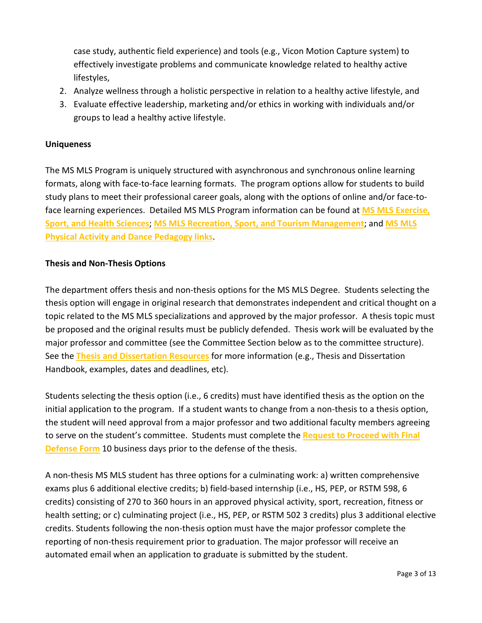case study, authentic field experience) and tools (e.g., Vicon Motion Capture system) to effectively investigate problems and communicate knowledge related to healthy active lifestyles,

- 2. Analyze wellness through a holistic perspective in relation to a healthy active lifestyle, and
- 3. Evaluate effective leadership, marketing and/or ethics in working with individuals and/or groups to lead a healthy active lifestyle.

### **Uniqueness**

The MS MLS Program is uniquely structured with asynchronous and synchronous online learning formats, along with face-to-face learning formats. The program options allow for students to build study plans to meet their professional career goals, along with the options of online and/or face-toface learning experiences. Detailed MS MLS Program information can be found at **[MS MLS Exercise,](https://www.uidaho.edu/ed/mvsc/academics/esh/mls-ms-esh)  Sport, [and Health Sciences](https://www.uidaho.edu/ed/mvsc/academics/esh/mls-ms-esh)**; **[MS MLS Recreation, Sport,](https://www.uidaho.edu/ed/mvsc/academics/recreation/mls-ms-recreation) and Tourism Management**; and **[MS MLS](https://www.uidaho.edu/ed/mvsc/academics/pete/mls-ms-pete)  [Physical Activity and Dance Pedagogy links](https://www.uidaho.edu/ed/mvsc/academics/pete/mls-ms-pete)**.

### **Thesis and Non-Thesis Options**

The department offers thesis and non-thesis options for the MS MLS Degree. Students selecting the thesis option will engage in original research that demonstrates independent and critical thought on a topic related to the MS MLS specializations and approved by the major professor. A thesis topic must be proposed and the original results must be publicly defended. Thesis work will be evaluated by the major professor and committee (see the Committee Section below as to the committee structure). See the **[Thesis and Dissertation Resources](https://www.uidaho.edu/cogs/resources/student-resources/thesis-dissertation)** for more information (e.g., Thesis and Dissertation Handbook, examples, dates and deadlines, etc).

Students selecting the thesis option (i.e., 6 credits) must have identified thesis as the option on the initial application to the program. If a student wants to change from a non-thesis to a thesis option, the student will need approval from a major professor and two additional faculty members agreeing to serve on the student's committee. Students must complete the **[Request to Proceed with Final](https://www.uidaho.edu/-/media/UIdaho-Responsive/Files/cogs/COGS-Forms/Request-to-Proceed-with-Final-Defense.pdf?la=en&hash=BE550DC0309083149DE0ACF96296C7FE3356C722)  [Defense Form](https://www.uidaho.edu/-/media/UIdaho-Responsive/Files/cogs/COGS-Forms/Request-to-Proceed-with-Final-Defense.pdf?la=en&hash=BE550DC0309083149DE0ACF96296C7FE3356C722)** 10 business days prior to the defense of the thesis.

A non-thesis MS MLS student has three options for a culminating work: a) written comprehensive exams plus 6 additional elective credits; b) field-based internship (i.e., HS, PEP, or RSTM 598, 6 credits) consisting of 270 to 360 hours in an approved physical activity, sport, recreation, fitness or health setting; or c) culminating project (i.e., HS, PEP, or RSTM 502 3 credits) plus 3 additional elective credits. Students following the non-thesis option must have the major professor complete the reporting of non-thesis requirement prior to graduation. The major professor will receive an automated email when an application to graduate is submitted by the student.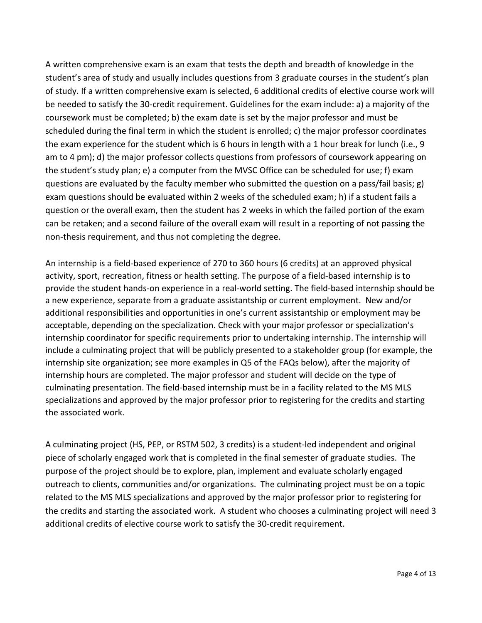A written comprehensive exam is an exam that tests the depth and breadth of knowledge in the student's area of study and usually includes questions from 3 graduate courses in the student's plan of study. If a written comprehensive exam is selected, 6 additional credits of elective course work will be needed to satisfy the 30-credit requirement. Guidelines for the exam include: a) a majority of the coursework must be completed; b) the exam date is set by the major professor and must be scheduled during the final term in which the student is enrolled; c) the major professor coordinates the exam experience for the student which is 6 hours in length with a 1 hour break for lunch (i.e., 9 am to 4 pm); d) the major professor collects questions from professors of coursework appearing on the student's study plan; e) a computer from the MVSC Office can be scheduled for use; f) exam questions are evaluated by the faculty member who submitted the question on a pass/fail basis; g) exam questions should be evaluated within 2 weeks of the scheduled exam; h) if a student fails a question or the overall exam, then the student has 2 weeks in which the failed portion of the exam can be retaken; and a second failure of the overall exam will result in a reporting of not passing the non-thesis requirement, and thus not completing the degree.

An internship is a field-based experience of 270 to 360 hours (6 credits) at an approved physical activity, sport, recreation, fitness or health setting. The purpose of a field-based internship is to provide the student hands-on experience in a real-world setting. The field-based internship should be a new experience, separate from a graduate assistantship or current employment. New and/or additional responsibilities and opportunities in one's current assistantship or employment may be acceptable, depending on the specialization. Check with your major professor or specialization's internship coordinator for specific requirements prior to undertaking internship. The internship will include a culminating project that will be publicly presented to a stakeholder group (for example, the internship site organization; see more examples in Q5 of the FAQs below), after the majority of internship hours are completed. The major professor and student will decide on the type of culminating presentation. The field-based internship must be in a facility related to the MS MLS specializations and approved by the major professor prior to registering for the credits and starting the associated work.

A culminating project (HS, PEP, or RSTM 502, 3 credits) is a student-led independent and original piece of scholarly engaged work that is completed in the final semester of graduate studies. The purpose of the project should be to explore, plan, implement and evaluate scholarly engaged outreach to clients, communities and/or organizations. The culminating project must be on a topic related to the MS MLS specializations and approved by the major professor prior to registering for the credits and starting the associated work. A student who chooses a culminating project will need 3 additional credits of elective course work to satisfy the 30-credit requirement.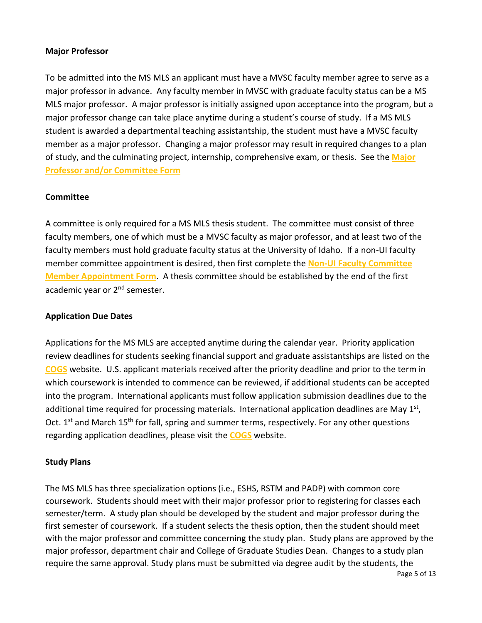### **Major Professor**

To be admitted into the MS MLS an applicant must have a MVSC faculty member agree to serve as a major professor in advance. Any faculty member in MVSC with graduate faculty status can be a MS MLS major professor. A major professor is initially assigned upon acceptance into the program, but a major professor change can take place anytime during a student's course of study. If a MS MLS student is awarded a departmental teaching assistantship, the student must have a MVSC faculty member as a major professor. Changing a major professor may result in required changes to a plan of study, and the culminating project, internship, comprehensive exam, or thesis. See the **[Major](https://www.uidaho.edu/-/media/UIdaho-Responsive/Files/cogs/COGS-Forms/Guides/Add-or-Change-Committee-members-7_2015.pdf?la=en&hash=B5499A9EC856A7EA15F291BA76865F31D815DF5E)  [Professor and/or Committee Form](https://www.uidaho.edu/-/media/UIdaho-Responsive/Files/cogs/COGS-Forms/Guides/Add-or-Change-Committee-members-7_2015.pdf?la=en&hash=B5499A9EC856A7EA15F291BA76865F31D815DF5E)**

### **Committee**

A committee is only required for a MS MLS thesis student. The committee must consist of three faculty members, one of which must be a MVSC faculty as major professor, and at least two of the faculty members must hold graduate faculty status at the University of Idaho. If a non-UI faculty member committee appointment is desired, then first complete the **Non-UI [Faculty Committee](https://www.uidaho.edu/-/media/UIdaho-Responsive/Files/cogs/COGS-Forms/non-ui-faculty-appointment.pdf?la=en&hash=7FB784C5B07202548E1ED515D173EBE4C02B33B1)  [Member Appointment Form](https://www.uidaho.edu/-/media/UIdaho-Responsive/Files/cogs/COGS-Forms/non-ui-faculty-appointment.pdf?la=en&hash=7FB784C5B07202548E1ED515D173EBE4C02B33B1)**. A thesis committee should be established by the end of the first academic year or 2<sup>nd</sup> semester.

### **Application Due Dates**

Applications for the MS MLS are accepted anytime during the calendar year. Priority application review deadlines for students seeking financial support and graduate assistantships are listed on the **[COGS](https://www.uidaho.edu/cogs)** website. U.S. applicant materials received after the priority deadline and prior to the term in which coursework is intended to commence can be reviewed, if additional students can be accepted into the program. International applicants must follow application submission deadlines due to the additional time required for processing materials. International application deadlines are May  $1<sup>st</sup>$ , Oct. 1<sup>st</sup> and March 15<sup>th</sup> for fall, spring and summer terms, respectively. For any other questions regarding application deadlines, please visit the **[COGS](https://www.uidaho.edu/cogs)** website.

### **Study Plans**

The MS MLS has three specialization options (i.e., ESHS, RSTM and PADP) with common core coursework. Students should meet with their major professor prior to registering for classes each semester/term. A study plan should be developed by the student and major professor during the first semester of coursework. If a student selects the thesis option, then the student should meet with the major professor and committee concerning the study plan. Study plans are approved by the major professor, department chair and College of Graduate Studies Dean. Changes to a study plan require the same approval. Study plans must be submitted via degree audit by the students, the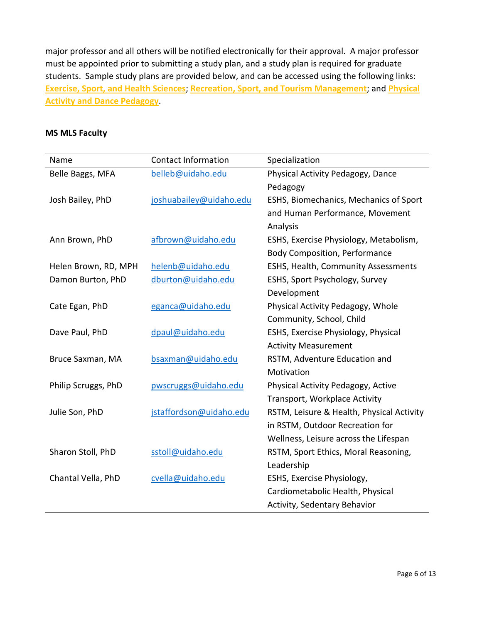major professor and all others will be notified electronically for their approval. A major professor must be appointed prior to submitting a study plan, and a study plan is required for graduate students. Sample study plans are provided below, and can be accessed using the following links: **[Exercise, Sport, and Health Sciences](https://www.uidaho.edu/ed/mvsc/academics/esh/mls-ms-esh)**; **[Recreation, Sport, and Tourism Management](https://www.uidaho.edu/ed/mvsc/academics/recreation/mls-ms-recreation)**; and **[Physical](https://www.uidaho.edu/ed/mvsc/academics/pete/mls-ms-pete)  [Activity and Dance Pedagogy](https://www.uidaho.edu/ed/mvsc/academics/pete/mls-ms-pete)**.

### **MS MLS Faculty**

| Name                 | <b>Contact Information</b> | Specialization                            |
|----------------------|----------------------------|-------------------------------------------|
| Belle Baggs, MFA     | belleb@uidaho.edu          | Physical Activity Pedagogy, Dance         |
|                      |                            | Pedagogy                                  |
| Josh Bailey, PhD     | joshuabailey@uidaho.edu    | ESHS, Biomechanics, Mechanics of Sport    |
|                      |                            | and Human Performance, Movement           |
|                      |                            | Analysis                                  |
| Ann Brown, PhD       | afbrown@uidaho.edu         | ESHS, Exercise Physiology, Metabolism,    |
|                      |                            | <b>Body Composition, Performance</b>      |
| Helen Brown, RD, MPH | helenb@uidaho.edu          | ESHS, Health, Community Assessments       |
| Damon Burton, PhD    | dburton@uidaho.edu         | ESHS, Sport Psychology, Survey            |
|                      |                            | Development                               |
| Cate Egan, PhD       | eganca@uidaho.edu          | Physical Activity Pedagogy, Whole         |
|                      |                            | Community, School, Child                  |
| Dave Paul, PhD       | dpaul@uidaho.edu           | ESHS, Exercise Physiology, Physical       |
|                      |                            | <b>Activity Measurement</b>               |
| Bruce Saxman, MA     | bsaxman@uidaho.edu         | RSTM, Adventure Education and             |
|                      |                            | Motivation                                |
| Philip Scruggs, PhD  | pwscruggs@uidaho.edu       | Physical Activity Pedagogy, Active        |
|                      |                            | Transport, Workplace Activity             |
| Julie Son, PhD       | jstaffordson@uidaho.edu    | RSTM, Leisure & Health, Physical Activity |
|                      |                            | in RSTM, Outdoor Recreation for           |
|                      |                            | Wellness, Leisure across the Lifespan     |
| Sharon Stoll, PhD    | sstoll@uidaho.edu          | RSTM, Sport Ethics, Moral Reasoning,      |
|                      |                            | Leadership                                |
| Chantal Vella, PhD   | cvella@uidaho.edu          | ESHS, Exercise Physiology,                |
|                      |                            | Cardiometabolic Health, Physical          |
|                      |                            | Activity, Sedentary Behavior              |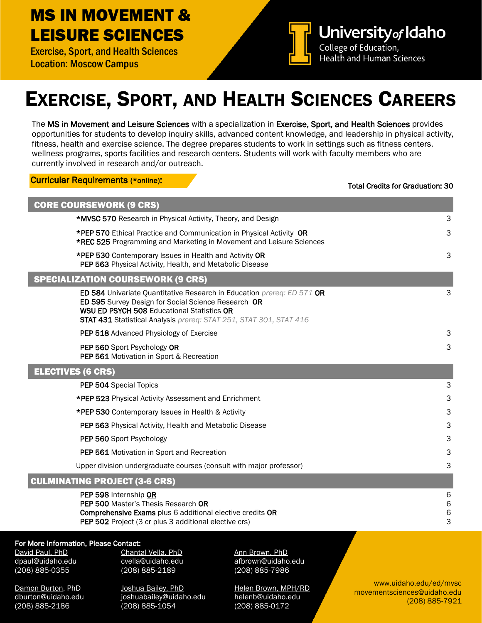### MS IN MOVEMENT & LEISURE SCIENCES

Exercise, Sport, and Health Sciences Location: Moscow Campus



University of Idaho College of Education, **Health and Human Sciences** 

# EXERCISE, SPORT, AND HEALTH SCIENCES CAREERS

The MS in Movement and Leisure Sciences with a specialization in Exercise, Sport, and Health Sciences provides opportunities for students to develop inquiry skills, advanced content knowledge, and leadership in physical activity, fitness, health and exercise science. The degree prepares students to work in settings such as fitness centers, wellness programs, sports facilities and research centers. Students will work with faculty members who are currently involved in research and/or outreach.

Curricular Requirements (\*online):

#### Total Credits for Graduation: 30

| <b>CORE COURSEWORK (9 CRS)</b>                                                                                                                                                                                                                           |                      |
|----------------------------------------------------------------------------------------------------------------------------------------------------------------------------------------------------------------------------------------------------------|----------------------|
| *MVSC 570 Research in Physical Activity, Theory, and Design                                                                                                                                                                                              | 3                    |
| *PEP 570 Ethical Practice and Communication in Physical Activity OR<br>*REC 525 Programming and Marketing in Movement and Leisure Sciences                                                                                                               | 3                    |
| *PEP 530 Contemporary Issues in Health and Activity OR<br>PEP 563 Physical Activity, Health, and Metabolic Disease                                                                                                                                       | 3                    |
| <b>SPECIALIZATION COURSEWORK (9 CRS)</b>                                                                                                                                                                                                                 |                      |
| ED 584 Univariate Quantitative Research in Education prereq: ED 571 OR<br>ED 595 Survey Design for Social Science Research OR<br><b>WSU ED PSYCH 508 Educational Statistics OR</b><br>STAT 431 Statistical Analysis prereq: STAT 251, STAT 301, STAT 416 | 3                    |
| PEP 518 Advanced Physiology of Exercise                                                                                                                                                                                                                  | 3                    |
| PEP 560 Sport Psychology OR<br>PEP 561 Motivation in Sport & Recreation                                                                                                                                                                                  | 3                    |
| <b>ELECTIVES (6 CRS)</b>                                                                                                                                                                                                                                 |                      |
| PEP 504 Special Topics                                                                                                                                                                                                                                   | 3                    |
| *PEP 523 Physical Activity Assessment and Enrichment                                                                                                                                                                                                     | 3                    |
| *PEP 530 Contemporary Issues in Health & Activity                                                                                                                                                                                                        | 3                    |
| PEP 563 Physical Activity, Health and Metabolic Disease                                                                                                                                                                                                  | 3                    |
| PEP 560 Sport Psychology                                                                                                                                                                                                                                 | 3                    |
| PEP 561 Motivation in Sport and Recreation                                                                                                                                                                                                               | 3                    |
| Upper division undergraduate courses (consult with major professor)                                                                                                                                                                                      | 3                    |
| <b>CULMINATING PROJECT (3-6 CRS)</b>                                                                                                                                                                                                                     |                      |
| PEP 598 Internship OR<br>PEP 500 Master's Thesis Research OR<br>Comprehensive Exams plus 6 additional elective credits OR<br>PEP 502 Project (3 cr plus 3 additional elective crs)                                                                       | 6<br>6<br>$\,6$<br>3 |
| For More Information, Please Contact:<br>David Paul, PhD<br>Chantal Vella. PhD<br>Ann Brown, PhD                                                                                                                                                         |                      |

For N

(208) 885-2186 (208) 885-1054 (208) 885-0172

(208) 885-0355 (208) 885-2189 (208) 885-7986

Damon Burton, PhD Joshua Bailey, PhD Helen Brown, MPH/RD dburton@uidaho.edu joshuabailey@uidaho.edu helenb@uidaho.edu

dpaul@uidaho.edu cvella@uidaho.edu afbrown@uidaho.edu

www.uidaho.edu/ed/mvsc movementsciences@uidaho.edu (208) 885-7921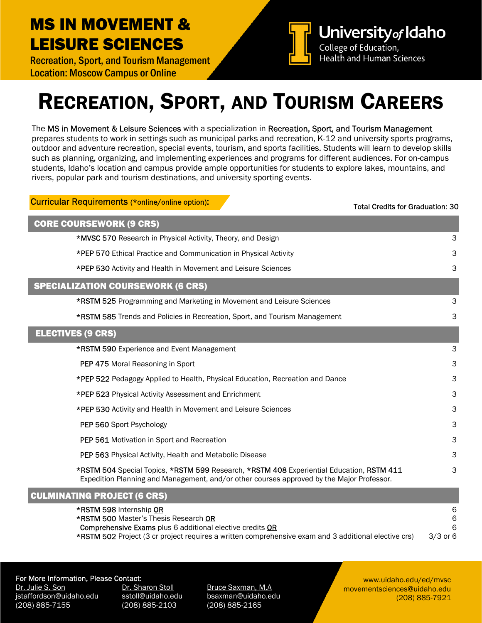### MS IN MOVEMENT & LEISURE SCIENCES

Recreation, Sport, and Tourism Management Location: Moscow Campus or Online



# RECREATION, SPORT, AND TOURISM CAREERS

The MS in Movement & Leisure Sciences with a specialization in Recreation, Sport, and Tourism Management prepares students to work in settings such as municipal parks and recreation, K-12 and university sports programs, outdoor and adventure recreation, special events, tourism, and sports facilities. Students will learn to develop skills such as planning, organizing, and implementing experiences and programs for different audiences. For on-campus students, Idaho's location and campus provide ample opportunities for students to explore lakes, mountains, and rivers, popular park and tourism destinations, and university sporting events.

| <b>Curricular Requirements (*online/online option):</b>                                                                                                                               | <b>Total Credits for Graduation: 30</b> |
|---------------------------------------------------------------------------------------------------------------------------------------------------------------------------------------|-----------------------------------------|
| <b>CORE COURSEWORK (9 CRS)</b>                                                                                                                                                        |                                         |
| *MVSC 570 Research in Physical Activity, Theory, and Design                                                                                                                           | 3                                       |
| *PEP 570 Ethical Practice and Communication in Physical Activity                                                                                                                      | 3                                       |
| *PEP 530 Activity and Health in Movement and Leisure Sciences                                                                                                                         | 3                                       |
| <b>SPECIALIZATION COURSEWORK (6 CRS)</b>                                                                                                                                              |                                         |
| *RSTM 525 Programming and Marketing in Movement and Leisure Sciences                                                                                                                  | 3                                       |
| *RSTM 585 Trends and Policies in Recreation, Sport, and Tourism Management                                                                                                            | 3                                       |
| <b>ELECTIVES (9 CRS)</b>                                                                                                                                                              |                                         |
| <b>*RSTM 590 Experience and Event Management</b>                                                                                                                                      | 3                                       |
| PEP 475 Moral Reasoning in Sport                                                                                                                                                      | 3                                       |
| *PEP 522 Pedagogy Applied to Health, Physical Education, Recreation and Dance                                                                                                         | 3                                       |
| *PEP 523 Physical Activity Assessment and Enrichment                                                                                                                                  | 3                                       |
| *PEP 530 Activity and Health in Movement and Leisure Sciences                                                                                                                         | 3                                       |
| PEP 560 Sport Psychology                                                                                                                                                              | 3                                       |
| PEP 561 Motivation in Sport and Recreation                                                                                                                                            | 3                                       |
| <b>PEP 563</b> Physical Activity, Health and Metabolic Disease                                                                                                                        | 3                                       |
| *RSTM 504 Special Topics, *RSTM 599 Research, *RSTM 408 Experiential Education, RSTM 411<br>Expedition Planning and Management, and/or other courses approved by the Major Professor. | 3                                       |
| <b>CULMINATING PROJECT (6 CRS)</b>                                                                                                                                                    |                                         |

| 6                                                                                                                         |
|---------------------------------------------------------------------------------------------------------------------------|
| <b>*RSTM 500 Master's Thesis Research OR</b><br>6                                                                         |
| <b>Comprehensive Exams</b> plus 6 additional elective credits <b>OR</b><br>-6                                             |
| <b>*RSTM 502</b> Project (3 cr project requires a written comprehensive exam and 3 additional elective crs)<br>$3/3$ or 6 |
|                                                                                                                           |

### For More Information, Please Contact:

Dr. Julie S. Son **Dr. Sharon Stoll Bruce Saxman, M.A.** jstaffordson@uidaho.edu sstoll@uidaho.edu bsaxman@uidaho.edu (208) 885-7155 (208) 885-2103 (208) 885-2165

www.uidaho.edu/ed/mvsc movementsciences@uidaho.edu (208) 885-7921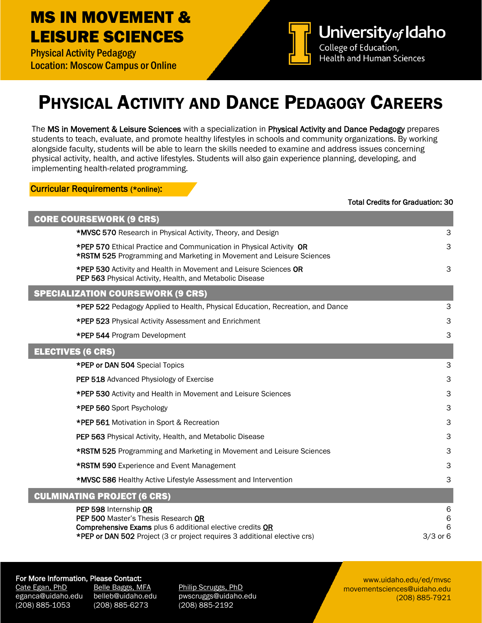### MS IN MOVEMENT & LEISURE SCIENCES

Physical Activity Pedagogy Location: Moscow Campus or Online



## PHYSICAL ACTIVITY AND DANCE PEDAGOGY CAREERS

The MS in Movement & Leisure Sciences with a specialization in Physical Activity and Dance Pedagogy prepares students to teach, evaluate, and promote healthy lifestyles in schools and community organizations. By working alongside faculty, students will be able to learn the skills needed to examine and address issues concerning physical activity, health, and active lifestyles. Students will also gain experience planning, developing, and implementing health-related programming.

### Curricular Requirements (\*online):

#### Total Credits for Graduation: 30

| <b>CORE COURSEWORK (9 CRS)</b>                                                                                                                                                                         |                               |
|--------------------------------------------------------------------------------------------------------------------------------------------------------------------------------------------------------|-------------------------------|
| *MVSC 570 Research in Physical Activity, Theory, and Design                                                                                                                                            | 3                             |
| *PEP 570 Ethical Practice and Communication in Physical Activity OR<br>*RSTM 525 Programming and Marketing in Movement and Leisure Sciences                                                            | 3                             |
| *PEP 530 Activity and Health in Movement and Leisure Sciences OR<br>PEP 563 Physical Activity, Health, and Metabolic Disease                                                                           | 3                             |
| <b>SPECIALIZATION COURSEWORK (9 CRS)</b>                                                                                                                                                               |                               |
| *PEP 522 Pedagogy Applied to Health, Physical Education, Recreation, and Dance                                                                                                                         | 3                             |
| *PEP 523 Physical Activity Assessment and Enrichment                                                                                                                                                   | 3                             |
| *PEP 544 Program Development                                                                                                                                                                           | 3                             |
| <b>ELECTIVES (6 CRS)</b>                                                                                                                                                                               |                               |
| *PEP or DAN 504 Special Topics                                                                                                                                                                         | 3                             |
| PEP 518 Advanced Physiology of Exercise                                                                                                                                                                | 3                             |
| *PEP 530 Activity and Health in Movement and Leisure Sciences                                                                                                                                          | 3                             |
| *PEP 560 Sport Psychology                                                                                                                                                                              | 3                             |
| *PEP 561 Motivation in Sport & Recreation                                                                                                                                                              | 3                             |
| PEP 563 Physical Activity, Health, and Metabolic Disease                                                                                                                                               | 3                             |
| *RSTM 525 Programming and Marketing in Movement and Leisure Sciences                                                                                                                                   | 3                             |
| *RSTM 590 Experience and Event Management                                                                                                                                                              | 3                             |
| *MVSC 586 Healthy Active Lifestyle Assessment and Intervention                                                                                                                                         | 3                             |
| <b>CULMINATING PROJECT (6 CRS)</b>                                                                                                                                                                     |                               |
| PEP 598 Internship OR<br>PEP 500 Master's Thesis Research OR<br>Comprehensive Exams plus 6 additional elective credits OR<br>*PEP or DAN 502 Project (3 cr project requires 3 additional elective crs) | 6<br>$\,6$<br>6<br>$3/3$ or 6 |

### For More Information, Please Contact:

Cate Egan, PhD Belle Baggs, MFA Philip Scruggs, PhD (208) 885-1053 (208) 885-6273 (208) 885-2192

eganca@uidaho.edu belleb@uidaho.edu pwscruggs@uidaho.edu

www.uidaho.edu/ed/mvsc movementsciences@uidaho.edu (208) 885-7921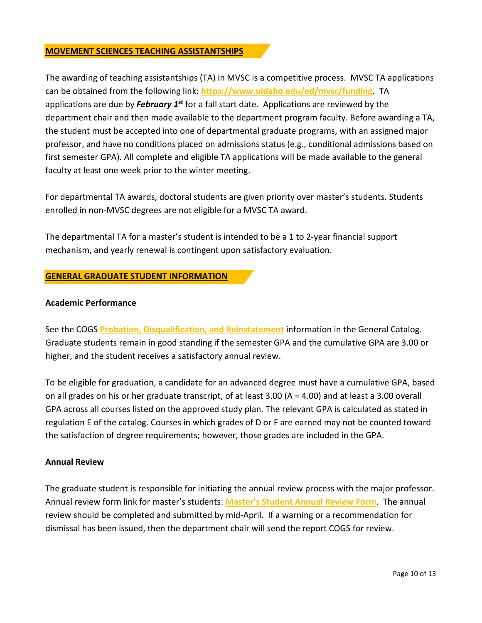### **MOVEMENT SCIENCES TEACHING ASSISTANTSHIPS**

The awarding of teaching assistantships (TA) in MVSC is a competitive process. MVSC TA applications can be obtained from the following link: **<https://www.uidaho.edu/ed/mvsc/funding>**. TA applications are due by *February 1st* for a fall start date. Applications are reviewed by the department chair and then made available to the department program faculty. Before awarding a TA, the student must be accepted into one of departmental graduate programs, with an assigned major professor, and have no conditions placed on admissions status (e.g., conditional admissions based on first semester GPA). All complete and eligible TA applications will be made available to the general faculty at least one week prior to the winter meeting.

For departmental TA awards, doctoral students are given priority over master's students. Students enrolled in non-MVSC degrees are not eligible for a MVSC TA award.

The departmental TA for a master's student is intended to be a 1 to 2-year financial support mechanism, and yearly renewal is contingent upon satisfactory evaluation.

### **GENERAL GRADUATE STUDENT INFORMATION**

### **Academic Performance**

See the COGS **[Probation, Disqualification, and Reinstatement](https://catalog.uidaho.edu/colleges-related-units/graduate-studies/#generalgraduateregulationstext)** information in the General Catalog. Graduate students remain in good standing if the semester GPA and the cumulative GPA are 3.00 or higher, and the student receives a satisfactory annual review.

To be eligible for graduation, a candidate for an advanced degree must have a cumulative GPA, based on all grades on his or her graduate transcript, of at least 3.00 (A = 4.00) and at least a 3.00 overall GPA across all courses listed on the approved study plan. The relevant GPA is calculated as stated in regulation E of the catalog. Courses in which grades of D or F are earned may not be counted toward the satisfaction of degree requirements; however, those grades are included in the GPA.

### **Annual Review**

The graduate student is responsible for initiating the annual review process with the major professor. Annual review form link for master's students: **[Master's Student Annual Review Form](https://www.uidaho.edu/-/media/UIdaho-Responsive/Files/cogs/COGS-Forms/Annual-Evaluation-and-Performance-Report-Masters-Specialist.pdf?la=en&hash=360D1AF57D8BEBF4389BFBF168AD45D586F3D2A5)**. The annual review should be completed and submitted by mid-April. If a warning or a recommendation for dismissal has been issued, then the department chair will send the report COGS for review.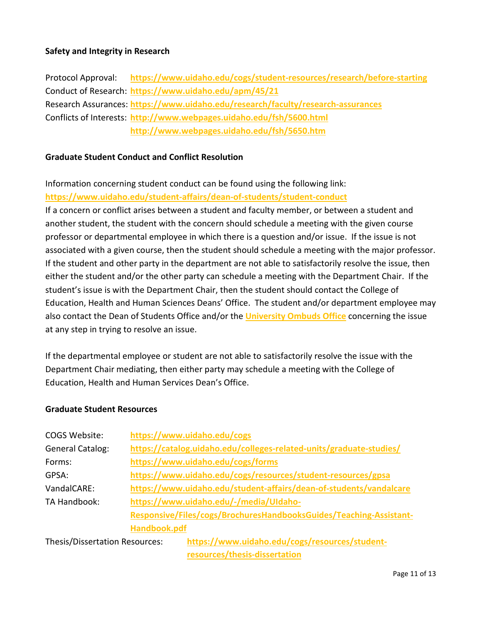### **Safety and Integrity in Research**

Protocol Approval: **<https://www.uidaho.edu/cogs/student-resources/research/before-starting>** Conduct of Research: **<https://www.uidaho.edu/apm/45/21>** Research Assurances: **<https://www.uidaho.edu/research/faculty/research-assurances>** Conflicts of Interests: **<http://www.webpages.uidaho.edu/fsh/5600.html> <http://www.webpages.uidaho.edu/fsh/5650.htm>**

### **Graduate Student Conduct and Conflict Resolution**

Information concerning student conduct can be found using the following link: **<https://www.uidaho.edu/student-affairs/dean-of-students/student-conduct>**

If a concern or conflict arises between a student and faculty member, or between a student and another student, the student with the concern should schedule a meeting with the given course professor or departmental employee in which there is a question and/or issue. If the issue is not associated with a given course, then the student should schedule a meeting with the major professor. If the student and other party in the department are not able to satisfactorily resolve the issue, then either the student and/or the other party can schedule a meeting with the Department Chair. If the student's issue is with the Department Chair, then the student should contact the College of Education, Health and Human Sciences Deans' Office. The student and/or department employee may also contact the Dean of Students Office and/or the **[University Ombuds Office](https://www.uidaho.edu/governance/faculty-staff/ombuds)** concerning the issue at any step in trying to resolve an issue.

If the departmental employee or student are not able to satisfactorily resolve the issue with the Department Chair mediating, then either party may schedule a meeting with the College of Education, Health and Human Services Dean's Office.

### **Graduate Student Resources**

| COGS Website:                  | https://www.uidaho.edu/cogs                                         |
|--------------------------------|---------------------------------------------------------------------|
| <b>General Catalog:</b>        | https://catalog.uidaho.edu/colleges-related-units/graduate-studies/ |
| Forms:                         | https://www.uidaho.edu/cogs/forms                                   |
| GPSA:                          | https://www.uidaho.edu/cogs/resources/student-resources/gpsa        |
| VandalCARE:                    | https://www.uidaho.edu/student-affairs/dean-of-students/vandalcare  |
| TA Handbook:                   | https://www.uidaho.edu/-/media/UIdaho-                              |
|                                | Responsive/Files/cogs/BrochuresHandbooksGuides/Teaching-Assistant-  |
|                                | Handbook.pdf                                                        |
| Thesis/Dissertation Resources: | https://www.uidaho.edu/cogs/resources/student-                      |
|                                | resources/thesis-dissertation                                       |

Page 11 of 13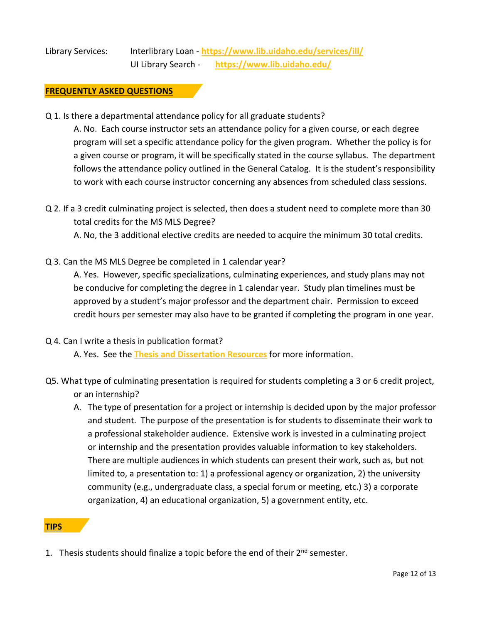### Library Services: Interlibrary Loan - **<https://www.lib.uidaho.edu/services/ill/>** UI Library Search - **<https://www.lib.uidaho.edu/>**

### **FREQUENTLY ASKED QUESTIONS**

Q 1. Is there a departmental attendance policy for all graduate students?

A. No. Each course instructor sets an attendance policy for a given course, or each degree program will set a specific attendance policy for the given program. Whether the policy is for a given course or program, it will be specifically stated in the course syllabus. The department follows the attendance policy outlined in the General Catalog. It is the student's responsibility to work with each course instructor concerning any absences from scheduled class sessions.

Q 2. If a 3 credit culminating project is selected, then does a student need to complete more than 30 total credits for the MS MLS Degree?

A. No, the 3 additional elective credits are needed to acquire the minimum 30 total credits.

Q 3. Can the MS MLS Degree be completed in 1 calendar year?

A. Yes. However, specific specializations, culminating experiences, and study plans may not be conducive for completing the degree in 1 calendar year. Study plan timelines must be approved by a student's major professor and the department chair. Permission to exceed credit hours per semester may also have to be granted if completing the program in one year.

### Q 4. Can I write a thesis in publication format?

A. Yes. See the **[Thesis and Dissertation Resources](https://www.uidaho.edu/cogs/resources/student-resources/thesis-dissertation)** for more information.

- Q5. What type of culminating presentation is required for students completing a 3 or 6 credit project, or an internship?
	- A. The type of presentation for a project or internship is decided upon by the major professor and student. The purpose of the presentation is for students to disseminate their work to a professional stakeholder audience. Extensive work is invested in a culminating project or internship and the presentation provides valuable information to key stakeholders. There are multiple audiences in which students can present their work, such as, but not limited to, a presentation to: 1) a professional agency or organization, 2) the university community (e.g., undergraduate class, a special forum or meeting, etc.) 3) a corporate organization, 4) an educational organization, 5) a government entity, etc.

### **TIPS**

1. Thesis students should finalize a topic before the end of their 2<sup>nd</sup> semester.